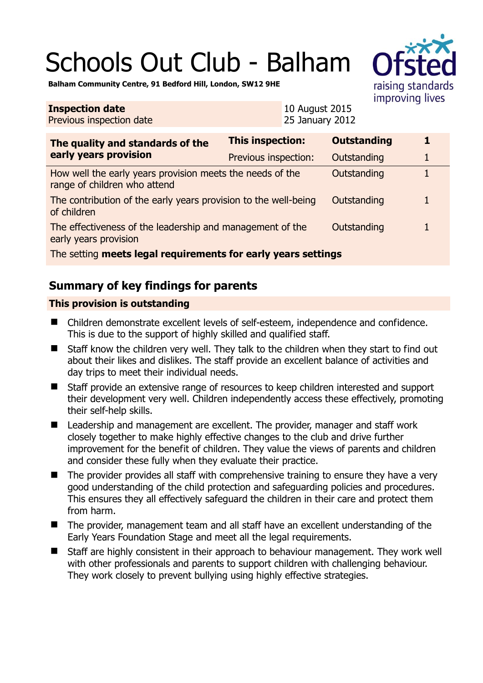# Schools Out Club - Balham



**Balham Community Centre, 91 Bedford Hill, London, SW12 9HE** 

#### **Inspection date** Previous inspection date

10 August 2015 25 January 2012

| The quality and standards of the<br>early years provision                                 | This inspection:     | <b>Outstanding</b> | 1 |
|-------------------------------------------------------------------------------------------|----------------------|--------------------|---|
|                                                                                           | Previous inspection: | Outstanding        | 1 |
| How well the early years provision meets the needs of the<br>range of children who attend |                      | Outstanding        |   |
| The contribution of the early years provision to the well-being<br>of children            |                      | Outstanding        | 1 |
| The effectiveness of the leadership and management of the<br>early years provision        |                      | Outstanding        |   |
| The setting meets legal requirements for early years settings                             |                      |                    |   |

# **Summary of key findings for parents**

## **This provision is outstanding**

- Children demonstrate excellent levels of self-esteem, independence and confidence. This is due to the support of highly skilled and qualified staff.
- Staff know the children very well. They talk to the children when they start to find out about their likes and dislikes. The staff provide an excellent balance of activities and day trips to meet their individual needs.
- Staff provide an extensive range of resources to keep children interested and support their development very well. Children independently access these effectively, promoting their self-help skills.
- Leadership and management are excellent. The provider, manager and staff work closely together to make highly effective changes to the club and drive further improvement for the benefit of children. They value the views of parents and children and consider these fully when they evaluate their practice.
- The provider provides all staff with comprehensive training to ensure they have a very good understanding of the child protection and safeguarding policies and procedures. This ensures they all effectively safeguard the children in their care and protect them from harm.
- The provider, management team and all staff have an excellent understanding of the Early Years Foundation Stage and meet all the legal requirements.
- Staff are highly consistent in their approach to behaviour management. They work well with other professionals and parents to support children with challenging behaviour. They work closely to prevent bullying using highly effective strategies.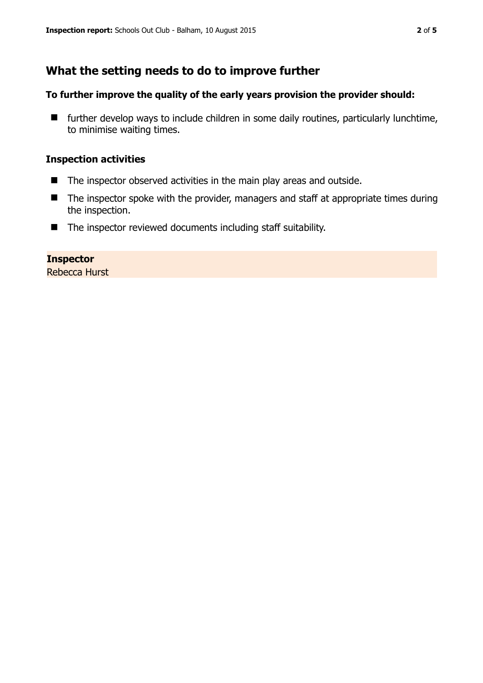# **What the setting needs to do to improve further**

#### **To further improve the quality of the early years provision the provider should:**

 $\blacksquare$  further develop ways to include children in some daily routines, particularly lunchtime, to minimise waiting times.

#### **Inspection activities**

- The inspector observed activities in the main play areas and outside.
- The inspector spoke with the provider, managers and staff at appropriate times during the inspection.
- The inspector reviewed documents including staff suitability.

#### **Inspector**

Rebecca Hurst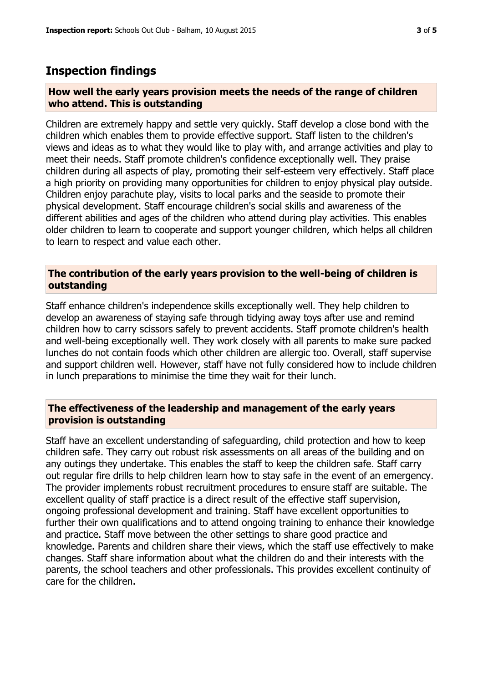### **Inspection findings**

#### **How well the early years provision meets the needs of the range of children who attend. This is outstanding**

Children are extremely happy and settle very quickly. Staff develop a close bond with the children which enables them to provide effective support. Staff listen to the children's views and ideas as to what they would like to play with, and arrange activities and play to meet their needs. Staff promote children's confidence exceptionally well. They praise children during all aspects of play, promoting their self-esteem very effectively. Staff place a high priority on providing many opportunities for children to enjoy physical play outside. Children enjoy parachute play, visits to local parks and the seaside to promote their physical development. Staff encourage children's social skills and awareness of the different abilities and ages of the children who attend during play activities. This enables older children to learn to cooperate and support younger children, which helps all children to learn to respect and value each other.

#### **The contribution of the early years provision to the well-being of children is outstanding**

Staff enhance children's independence skills exceptionally well. They help children to develop an awareness of staying safe through tidying away toys after use and remind children how to carry scissors safely to prevent accidents. Staff promote children's health and well-being exceptionally well. They work closely with all parents to make sure packed lunches do not contain foods which other children are allergic too. Overall, staff supervise and support children well. However, staff have not fully considered how to include children in lunch preparations to minimise the time they wait for their lunch.

#### **The effectiveness of the leadership and management of the early years provision is outstanding**

Staff have an excellent understanding of safeguarding, child protection and how to keep children safe. They carry out robust risk assessments on all areas of the building and on any outings they undertake. This enables the staff to keep the children safe. Staff carry out regular fire drills to help children learn how to stay safe in the event of an emergency. The provider implements robust recruitment procedures to ensure staff are suitable. The excellent quality of staff practice is a direct result of the effective staff supervision, ongoing professional development and training. Staff have excellent opportunities to further their own qualifications and to attend ongoing training to enhance their knowledge and practice. Staff move between the other settings to share good practice and knowledge. Parents and children share their views, which the staff use effectively to make changes. Staff share information about what the children do and their interests with the parents, the school teachers and other professionals. This provides excellent continuity of care for the children.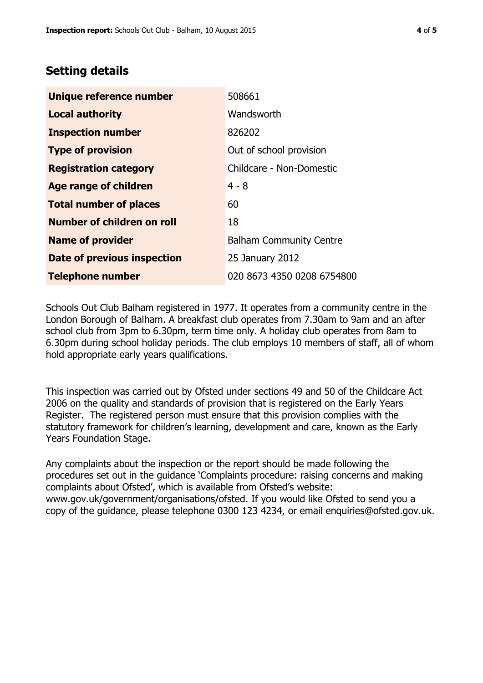## **Setting details**

| Unique reference number       | 508661                         |
|-------------------------------|--------------------------------|
| <b>Local authority</b>        | Wandsworth                     |
| <b>Inspection number</b>      | 826202                         |
| <b>Type of provision</b>      | Out of school provision        |
| <b>Registration category</b>  | Childcare - Non-Domestic       |
| <b>Age range of children</b>  | $4 - 8$                        |
| <b>Total number of places</b> | 60                             |
| Number of children on roll    | 18                             |
| <b>Name of provider</b>       | <b>Balham Community Centre</b> |
| Date of previous inspection   | 25 January 2012                |
| <b>Telephone number</b>       | 020 8673 4350 0208 6754800     |

Schools Out Club Balham registered in 1977. It operates from a community centre in the London Borough of Balham. A breakfast club operates from 7.30am to 9am and an after school club from 3pm to 6.30pm, term time only. A holiday club operates from 8am to 6.30pm during school holiday periods. The club employs 10 members of staff, all of whom hold appropriate early years qualifications.

This inspection was carried out by Ofsted under sections 49 and 50 of the Childcare Act 2006 on the quality and standards of provision that is registered on the Early Years Register. The registered person must ensure that this provision complies with the statutory framework for children's learning, development and care, known as the Early Years Foundation Stage.

Any complaints about the inspection or the report should be made following the procedures set out in the guidance 'Complaints procedure: raising concerns and making complaints about Ofsted', which is available from Ofsted's website: www.gov.uk/government/organisations/ofsted. If you would like Ofsted to send you a copy of the guidance, please telephone 0300 123 4234, or email enquiries@ofsted.gov.uk.